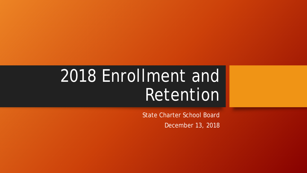## 2018 Enrollment and Retention

State Charter School Board

December 13, 2018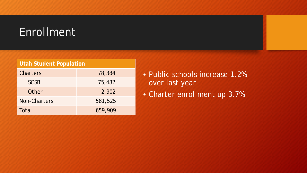### Enrollment

| <b>Utah Student Population</b> |         |
|--------------------------------|---------|
| <b>Charters</b>                | 78,384  |
| <b>SCSB</b>                    | 75,482  |
| Other                          | 2,902   |
| Non-Charters                   | 581,525 |
| Total                          | 659,909 |

- Public schools increase 1.2% over last year
- Charter enrollment up 3.7%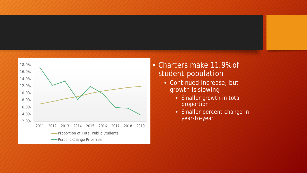

#### • Charters make 11.9% of student population

- Continued increase, but growth is slowing
	- Smaller growth in total proportion
	- Smaller percent change in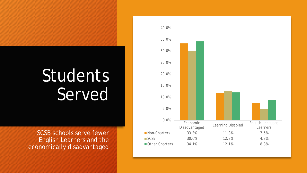# Students Served

SCSB schools serve fewer **English Learners and the** economically disadvantaged

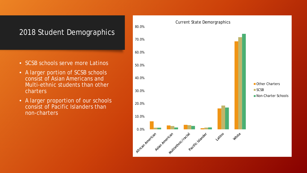### 2018 Student Demographics

- SCSB schools serve more Latinos
- A larger portion of SCSB schools consist of Asian Americans and Multi-ethnic students than other charters
- A larger proportion of our schools consist of Pacific Islanders than non-charters

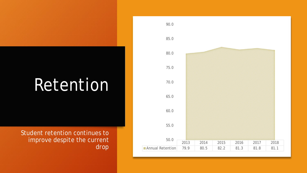## Retention

Student retention continues to improve despite the current drop

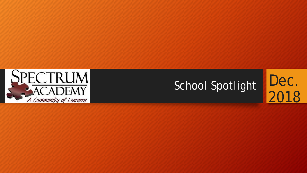

# School Spotlight Dec.

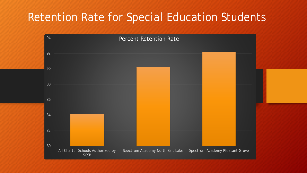## Retention Rate for Special Education Students

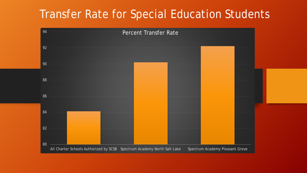### Transfer Rate for Special Education Students

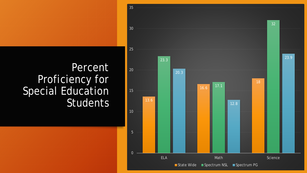### **Percent** Proficiency for Special Education Students 13.6

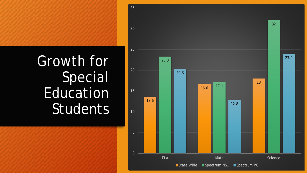## Growth for **Special** Education **Students**